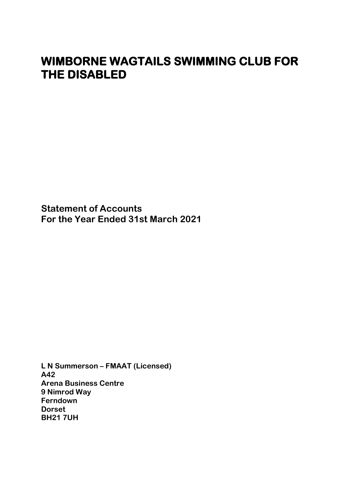**Statement of Accounts For the Year Ended 31st March 2021**

**L N Summerson – FMAAT (Licensed) A42 Arena Business Centre 9 Nimrod Way Ferndown Dorset BH21 7UH**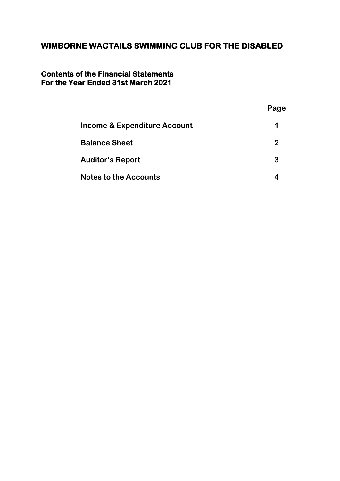#### **Contents of the Financial Statements For the Year Ended 31st March 2021**

|                                         | Page |
|-----------------------------------------|------|
| <b>Income &amp; Expenditure Account</b> | 1    |
| <b>Balance Sheet</b>                    | 2    |
| <b>Auditor's Report</b>                 | 3    |
| <b>Notes to the Accounts</b>            |      |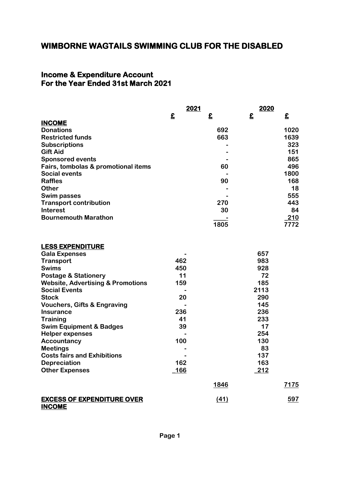#### **Income & Expenditure Account For the Year Ended 31st March 2021**

|                                     |   | 2021 | 2020 |      |
|-------------------------------------|---|------|------|------|
|                                     | £ | £    | £    | £    |
| <b>INCOME</b>                       |   |      |      |      |
| <b>Donations</b>                    |   | 692  |      | 1020 |
| <b>Restricted funds</b>             |   | 663  |      | 1639 |
| <b>Subscriptions</b>                |   |      |      | 323  |
| <b>Gift Aid</b>                     |   |      |      | 151  |
| <b>Sponsored events</b>             |   |      |      | 865  |
| Fairs, tombolas & promotional items |   | 60   |      | 496  |
| <b>Social events</b>                |   |      |      | 1800 |
| <b>Raffles</b>                      |   | 90   |      | 168  |
| <b>Other</b>                        |   |      |      | 18   |
| <b>Swim passes</b>                  |   |      |      | 555  |
| <b>Transport contribution</b>       |   | 270  |      | 443  |
| <b>Interest</b>                     |   | 30   |      | 84   |
| <b>Bournemouth Marathon</b>         |   |      |      | 210  |
|                                     |   | 1805 |      | 7772 |

#### **LESS EXPENDITURE**

| <b>Gala Expenses</b>                         |      |             | 657           |             |
|----------------------------------------------|------|-------------|---------------|-------------|
| <b>Transport</b>                             | 462  |             | 983           |             |
| <b>Swims</b>                                 | 450  |             | 928           |             |
| <b>Postage &amp; Stationery</b>              | 11   |             | 72            |             |
| <b>Website, Advertising &amp; Promotions</b> | 159  |             | 185           |             |
| <b>Social Events</b>                         |      |             | 2113          |             |
| <b>Stock</b>                                 | 20   |             | 290           |             |
| <b>Vouchers, Gifts &amp; Engraving</b>       |      |             | 145           |             |
| <b>Insurance</b>                             | 236  |             | 236           |             |
| <b>Training</b>                              | 41   |             | 233           |             |
| <b>Swim Equipment &amp; Badges</b>           | 39   |             | 17            |             |
| <b>Helper expenses</b>                       |      |             | 254           |             |
| Accountancy                                  | 100  |             | 130           |             |
| <b>Meetings</b>                              |      |             | 83            |             |
| <b>Costs fairs and Exhibitions</b>           |      |             | 137           |             |
| <b>Depreciation</b>                          | 162  |             | 163           |             |
| <b>Other Expenses</b>                        | _166 |             | <u>  212 </u> |             |
|                                              |      | <u>1846</u> |               | <u>7175</u> |
| <b>EXCESS OF EXPENDITURE OVER</b>            |      | (41)        |               | 597         |

**INCOME**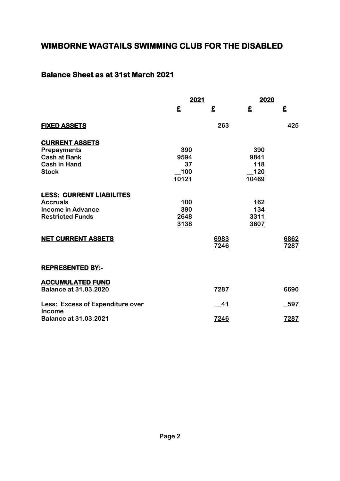## **Balance Sheet as at 31st March 2021**

|                                         | 2021       |                          | 2020       |      |
|-----------------------------------------|------------|--------------------------|------------|------|
|                                         | £          | $\boldsymbol{\hat{\Xi}}$ | £          | £    |
| <b>FIXED ASSETS</b>                     |            | 263                      |            | 425  |
| <b>CURRENT ASSETS</b>                   |            |                          |            |      |
| <b>Prepayments</b>                      | 390        |                          | 390        |      |
| <b>Cash at Bank</b>                     | 9594       |                          | 9841       |      |
| <b>Cash in Hand</b>                     | 37         |                          | 118        |      |
| <b>Stock</b>                            | <u>100</u> |                          | <u>120</u> |      |
|                                         | 10121      |                          | 10469      |      |
| <b>LESS: CURRENT LIABILITES</b>         |            |                          |            |      |
| <b>Accruals</b>                         | 100        |                          | 162        |      |
| <b>Income in Advance</b>                | 390        |                          | 134        |      |
| <b>Restricted Funds</b>                 | 2648       |                          | 3311       |      |
|                                         | 3138       |                          | 3607       |      |
| <b>NET CURRENT ASSETS</b>               |            | 6983                     |            | 6862 |
|                                         |            | 7246                     |            | 7287 |
|                                         |            |                          |            |      |
| <b>REPRESENTED BY:-</b>                 |            |                          |            |      |
| <b>ACCUMULATED FUND</b>                 |            |                          |            |      |
| <b>Balance at 31.03.2020</b>            |            | 7287                     |            | 6690 |
| <b>Less: Excess of Expenditure over</b> |            | 41                       |            | 597  |
| <b>Income</b>                           |            |                          |            |      |
| <b>Balance at 31.03.2021</b>            |            | 7246                     |            | 7287 |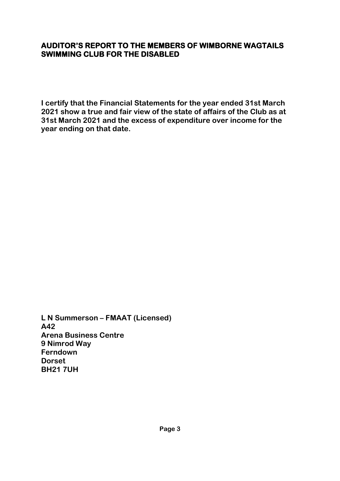## **AUDITOR'S REPORT TO THE MEMBERS OF WIMBORNE WAGTAILS SWIMMING CLUB FOR THE DISABLED**

**I certify that the Financial Statements for the year ended 31st March 2021 show a true and fair view of the state of affairs of the Club as at 31st March 2021 and the excess of expenditure over income for the year ending on that date.**

**L N Summerson – FMAAT (Licensed) A42 Arena Business Centre 9 Nimrod Way Ferndown Dorset BH21 7UH**